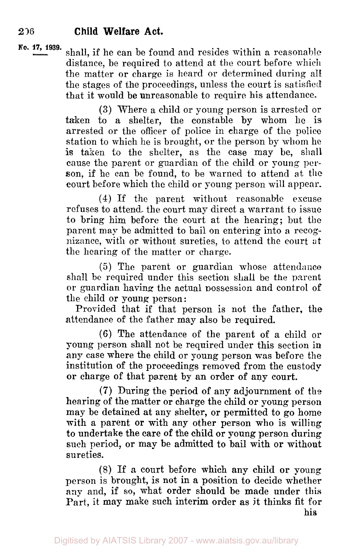*No.* **17, 1939.** shall, if he can be found and resides within a reasonable distance, be required to attend at the court before which the matter or charge is heard or determined during all the stages of the proceedings, unless the court is satisfied that it would **be** unreasonable to require his attendance.

> **(3)** Where a child or young person is arrested or taken to a shelter, the constable by whom he is arrested or the officer of police in charge of the police station to which he is brought, or the person by whom he is taken to the shelter, as the case may be, shall cause the parent or guardian of the child or young person, if he can be found, to be warned to attend at **the**  court before which the child or young person will appear.

> **(4)** If the parent without reasonable excuse refuses to attend, the court may direct a warrant to issue to bring him before the court at the hearing; but the parent may be admitted to bail on entering into a recognizance, with or without sureties, to attend the court **at**  the hearing of the matter or charge.

> (5) The parent or guardian whose attendance shall be required under this section shall be the parent or guardian having the actual possession and control of the child or young person:

> Provided that if that person is not the father, the attendance of the father may also be required.

> (6) The attendance of the parent of a child or young person shall not be required under this section in any case where the child or young person was before the institution of the proceedings removed from the custody **or** charge of that parent by an order of any court.

> **(7)** During the period of any adjournment of the hearing of the matter or charge the child or young person may be detained at any shelter, or permitted to *go* home with a parent or with any other person who is willing to undertake the care of the child or young person during such period, or may be admitted to bail with or without sureties.

> (8) If a court before which any child or young person is brought, is not in a position to decide whether any and, if so, what order should be made under this Part, it may make such interim order as it thinks fit for

his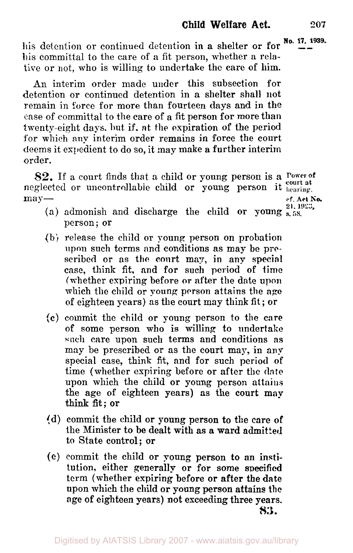his detention or continued detention in **a shelter or for**  $\frac{N_0}{n}$ . 17, 1939. his committal to the care **of** a fit person, whether **a** relative or not, who is willing to undertake the care **of** him.

An interim order made under this subsection for detention or continued detention in **a** shelter shall not remain in force for more than fourteen days and in the case of committal to the care of a fit person for more than twenty-eight days. but if. at **the** expiration **of** the period for which any interim order remains in force the court deems it expedient to do so, it may make a further interim order.

neglected or uncontrollable child or young person it  $_{\text{learning}}$ *82.* If a court finds that **a** child or young person is **a power of**  may — cf. Act No.

- 
- **21. 1923, (a)** admonish and discharge the child or young **s. 58.**  person; or
- (b) release the child or young person on probation **upon** such terms and conditions as **may be pre**scribed **or** as the court **may,** in any special case, think fit, and **for** such period of time (whether expiring **before** or after the date upon which the child or young **person** attains the **age**  of eighteen years) as the court may think fit ; or
- **(c)** commit the child or young person to the care of some person **who** is willing to undertake **such** care upon such terms and conditions *as*  may be prescribed or **as** the court may, in any special case, think fit, and **for** such period **of**  time (whether expiring before or after the **date**  upon which the child or young person attains the age of eighteen years) **as** the court **map**  think fit: or
- (d) commit the child or young person **to** the care of the Minister to be dealt with as a **ward** admitted **to** State control; or
- *(e)* commit the child or young person to an institution, either generally or **for** some **specified**  term (whether expiring before or after the **date**  upon which the child or young person attains the age of eighteen years) not exceeding three **years. 83.**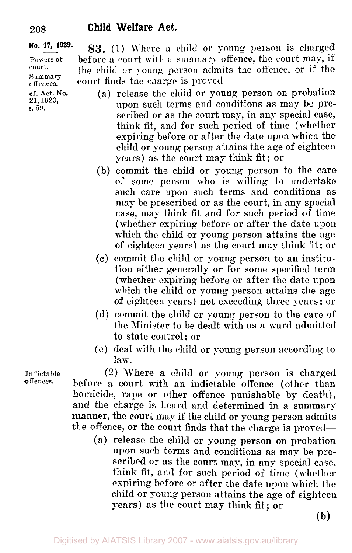#### **No. 17, 939. Powers of**  court. **Summary**  offences. **cf. Act. No. 83. (1)** Where a child or **young** person is charged before **a** court with a summary offence, the court may, if the child or young person admits the offence, or if the court finds the charge is proved- **(a)** release the child or young person on probation upon such terms and conditions as may be prescribed or as the court may, in any special case, think fit, and for such period of time (whether expiring before or after the date upon which the **21, 1923,**  *e.* **59.**

years) as the court may think fit; or (b) commit the child or young person to the care of some person who is willing to undertake such care upon such terms and conditions as may be prescribed or as the court, in any special case, may think fit and for such period of time (whether expiring before or after the date upon which the child or young person attains the age **of** eighteen years) as the court may think fit; or

child or young person attains the age of eighteen

- *(c)* commit the child or young person to an institution either generally or for some specified term (whether expiring before or after the date upon which the child or young person attains the age of eighteen years) not exceeding three years ; or
- (d) commit the child or young person to the care of the Minister to be dealt with as **a** ward admitted to state control; or
- (e) deal with the child or young person according to law.

**(2)** Where a child or young person is charged before a court with an indictable offence (other than homicide, rape or other offence punishable by death), and the charge is heard and determined in a summary manner, the court may if the child or young person admits the offence, or the court finds that the charge is proved-

**(a)** release the child or young person on probation upon such terms and conditions as may be prescribed or as the court may, in any special case. think fit, and for such period of time (whether expiring before or after the date upon which the child or young person attains the age of eighteen years) as the court may think fit; or

**(b)** 

**Indictable offences.**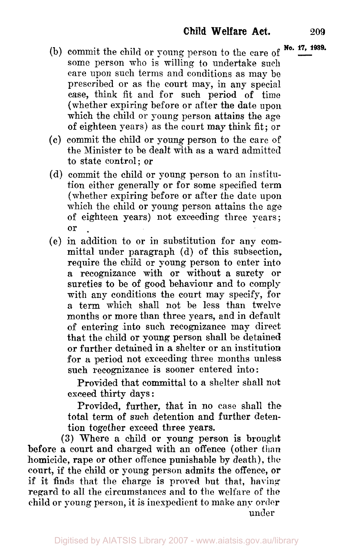- (b) commit the child or young person to the care of  $\frac{N_0}{N_1}$ . **1939.** some person who is willing to undertake such care upon such terms and conditions as may be prescribed or as the court may, in any special case, think fit and for such period of time (whether expiring before or after the date upon which the child or young person attains the age of eighteen years) as the court may think fit; or
- (c) commit the child or young person to the care of the Minister to be dealt with as a ward admitted to state control; or
- (d) commit the child or young person to an institution either generally or for some specified term (whether expiring before or after the date upon which the child or young person attains the age of eighteen years) not exceeding three years; or
- (e) in addition to or in substitution **for** any committal under paragraph (d) of this subsection, require the child or young person to enter into a recognizance with or without a surety or sureties to be of good behaviour and to comply with any conditions the court may specify, **for**  a term which shall not be less than twelve months or more than three years, and in default of entering into such recognizance may direct that the child **or** young person shall be detained **or** further detained in a shelter or an institution for a period not exceeding three months unless such recognizance is sooner entered into:

Provided that committal to a shelter shall not exceed thirty days:

Provided, further, that in no case shall the total term of such detention and further detention together exceed three years.

**(3)** Where a child or young person is brought before a court and charged with an offence (other than homicide, rape or other offence punishable by death), the court, if the child or young person admits the offence, or if it finds that the charge is proved but that, having regard to all the circumstances and to the welfare of the child or young person, it is inexpedient to make **any order**  under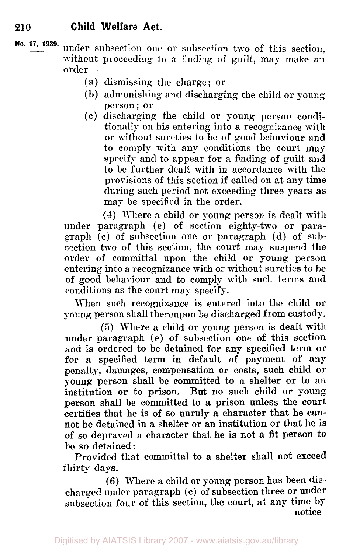- **No. 17, 1939.** under subsection one or subsection two of this section, without proceeding to a finding of guilt, may make **an**  order-
	- (a) dismissing the charge; or
	- (b) admonishing and discharging the child or young person; **or**
	- (c) discharging the child or young person conditionally on his entering into a recognizance with or without sureties to be of good behaviour and to comply with any conditions the court may specify and to appear for a finding of guilt and to be further dealt with in accordance with the provisions of this section if called on at any time during such period not exceeding three years as may be specified in the order.

(4) Where a child or young person is dealt with under paragraph (e) **of** section eighty-two or paragraph (c) of subsection one or paragraph (d) of subsection two of this section, the court may suspend the order of committal upon the child or young person entering into a recognizance with or without sureties to be of good behaviour and to comply with such terms and conditions as the court may specify.

When such recognizance is entered into the child or young person shall thereupon be discharged from custody.

(5) There a child or young person is dealt with under paragraph (e) of subsection one **of** this section and is ordered to be detained **for** any specified term or for **a** specified term in default of payment of any penalty, damages, compensation or costs, such child or young person shall be committed to a shelter or to an institution or to prison. But no such child or young person shall be committed to a prison unless the court certifies that he is of so unruly a character that he cannot be detained in a shelter **or** an institution or that he is of so depraved a character that he is not a fit person to be so detained:

Provided that committal to a shelter shall not exceed thirty **days.** 

**(6)** Where a child or young person has been discharged under paragraph (c) of subsection three or under subsection four of this section, the court, at any time by notice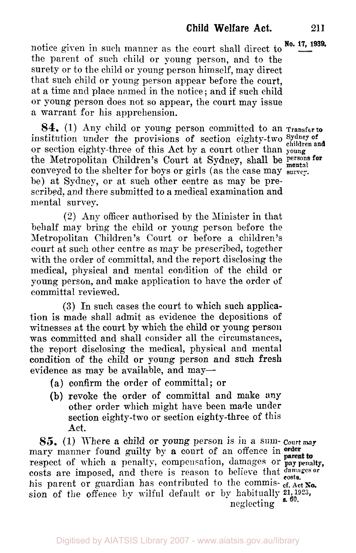Digitised by AIATSIS Library 2007 - www.aiatsis.gov.au/library

**Child Welfare Act. 211** 

notice given in such manner as the court shall direct to **No. 17, 1939.** the parent of such child or young person, and to the surety or to the child or young person himself, may direct that such child or young person appear before the court, at a time and place named in the notice ; and if such child or young person does not so appear, the court may issue a warrant for his apprehension.

**84.** (1) Any child or young person committed to an **Transfer to**  institution under the provisions of section eighty-two **Sydney of children and**  or section eighty-three of this Act by a court other than **young**  conveyed to the shelter for boys or girls (as the case may **survey.**  be) at Sydney, or at such other centre as may be prescribed, and there submitted to a medical examination and mental survey. the Metropolitan Children's Court at Sydney, shall be persons **for**  mental

*(2)* Any officer authorised by the Minister in that behalf may bring the child or young person before the Metropolitan Children's Court or before **a** children's court at such other centre as may be prescribed, together with the order of committal, and the report disclosing the

medical, physical and mental condition **of** the child or young person, and make application to hare the order **of** 

tion is made shall admit as evidence the depositions of witnesses at the court by which the child or young person was committed and shall consider all the circumstances, the report disclosing the medical, physical and mental condition of the child or young person and such fresh

evidence as may be available, and may-

(a) confirm the order of committal; or

**(3)** In such cases the court to which such applica-

**(b)** revoke the order of committal and make **any**  other order which might have been made under section eighty-two or section eighty-three of this

*85.* (1) Where **a** child or young person is in **a** sum- **Court may**  mary manner found guilty by **a** court of an offence in respect of which a penalty, compensation, damages or

costs are imposed, and there is reason to beIieve that *damages or costs.*  his parent or guardian has contributed to the commis- cf. Act **No.** 

committal reviewed.

Act.

**penalty,**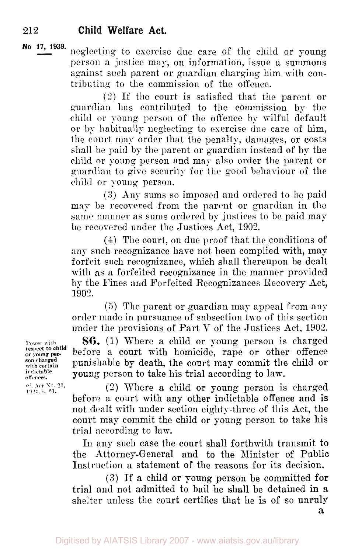**No 17, 1939.** neglecting to exercise due care of the child or young person a justice may, on information, issue a summons against such parent or guardian charging him with contributing to the commission of the offence.

> (2) If the court is satisfied that the parent or guardian has contributed to the commission by the child or young person of the offence by wilful default or by habitually neglecting to exercise due care of him, the court may order that the penalty, damages, or costs shall be paid by the parent or guardian instead of by the child or young person and may also order the parent or guardian to give security for the **good** behaviour of the child or young person.

> *(3)* Any sums so imposed and ordered to be paid may be recovered from the parent or guardian in the same manner as sums ordered by justices to be paid may be recovered under the Justices Act, 1902.

> **(4)** The court, on due proof that the conditions of any such recognizance have not been complied with, may forfeit such recognizance, which shall thereupon be dealt with as a forfeited recognizance in the manner provided by the Fines and Forfeited Recognizances Recovery Act, 1902.

> (5) The parent or guardian may appeal from any order made in pursuance of subsection two of this section under the provisions of Part V of the Justices Act, 1902.

**Power with 86.** (1) Where **a** child or young person is charged **or young per-** before a court with homicide, rape or other offence **with certain in punishable by death, the court may commit the child or**<br> *with certain* **which court may** commit the child or<br> *indictable* indictable offences young person to take his trial according to lam.

*cf. Act* **No 21, 1923** s. **61.** 

**respect** to **child son charged** 

> (2) Where a child or young person is charged before a court with any other indictable offence and is not dealt with under section eighty-three of this Act, the court may commit the child or young person to take his trial according to law.

> In any such case the court shall forthwith transmit to the Attorney-General and to the Minister of Public Instruction a statement of the reasons for its decision.

> **(3)** If a child or young person be committed **for**  trial and not admitted to bail he shall be detained in a shelter unless the court certifies that he is of so unruly

**a**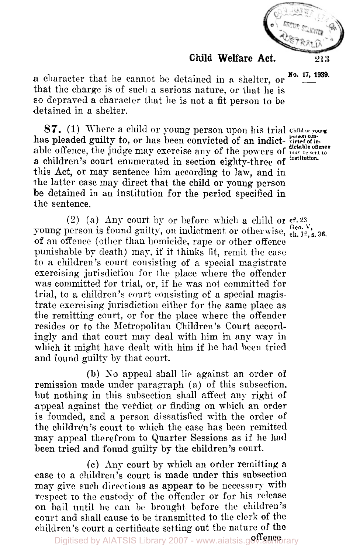

**a** character that he cannot be detained in a shelter, or that the charge is of such a serious nature, or that he is so depraved a character that lie is not **a** fit person to be detained in a shelter.

*87.* (1) Where a child or young person upon his trial **Child or young**  able offence, the judge may exercise any of the powers of **may be sent to**  this Act, or may sentence him according to lam, and in the latter case may direct that the child or young person be detained in an institution for the period specified in the sentence. has pleaded guilty to, or has been convicted of an indict- **person convicted of in**  a children's court enumerated in section eighty-three of <sup>institution</sup>.

(2) (a) Any court **by** or before which a child or **cf. 23**  young person is found guilty, on indictment or otherwise,  $_{ch. 12, s. 36}^{Ge. V}$ . of an offence (other than homicide, rape or other offence punishable by death) may, if it thinks fit, remit the case to a children's court consisting of a special magistrate exercising jurisdiction for the place where the offender was committed for trial, or, if he was not committed for trial, to **a** children's court consisting of a special magistrate exercising jurisdiction either for the same place as the remitting court. or for the place where the offender resides or to the Metropolitan Children's Court accordingly and that court may deal with him in any way in which it might have dealt with him if he had been tried and found guilty by that court.

(b) **No** appeal shall lie against an order of remission made under paragraph (a) of this subsection. but nothing in this subsection shall affect any right of appeal against the verdict or finding on which an order is founded, and a person dissatisfied with the order of the children's court to which the case has been remitted may appeal therefrom to Quarter Sessions as if he had been tried and found guilty by the children's court.

(c) Any court by which an order remitting a case to a children's court is made under this subsection may give such directions as appear to be necessary with respect to the custody of the offender or for his release on bail until he can **be** brought before the children's court and shall cause to be transmitted to the clerk **of** the children's court a certificate setting out the nature of the

**No. 17, 1939.** 

**dictable offence**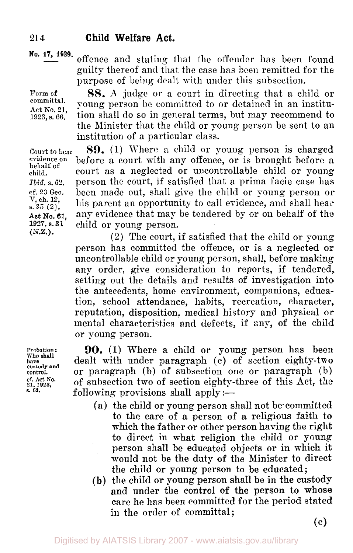**No. 17, 1939.** offence and stating that the offender has been found guilty thereof and that the case has been remitted for the purpose of being dealt with under this subsection.

> **SS. A.** judge or a court in directing that a child or young person be committed to or detained in an institu-

**Form of committal. Act** No. **21, 1923, s. 66.** 

**evidence** on **behalf of child.**  *Ibid.* **s.** *62.*  **court to hear** 

**cf. 23** Geo. V, **ch. 12, s. 35 (2).** 

**Act No. 61, 1927, s. 31**  (N.Z.).

**Probation: Who shall have custody and control. cf. Act No. 21.** *1923, s.* **63.** 

tion shall do so in general terms, but may recommend to the Minister that the child or young person be sent to an institution of a particular class. **89.** (1) Where a child or young person is charged before a court with any offence, or is brought before **a**  court as a neglected or uncontrollable child or young person the court, if satisfied that a prima facie case has

been made out, shall give the child or young person or his parent an opportunity to call evidence, and shall hear any evidence that may be tendered by or on behalf of the child or young person.

**(2)** The court, if satisfied that the child or young person has committed the offence, or is a neglected or uncontrollable child or young person, shall, before making any order, give consideration to reports, if tendered, setting out the details and results of investigation into the antecedents, home environment, companions, education, school attendance, habits, recreation, character, reputation, disposition, medical history and physical or mental characteristics and defects, if any, of the child or young person.

**90.** (1) Where a child or young person has been dealt with under paragraph (c) of section eighty-two or paragraph (b) of subsection one or paragraph (b) of subsection two of section eighty-three of this Act, the following provisions shall apply  $:=$ 

- (a) the child or young person shall not be committed to the care of **a** person of **a** religious faith to which the father or other person having the right to direct in what religion the child or young person shall be educated objects or in which it would not be the duty of the Minister to direct the child or young person to be educated;
- **(b)** the child or young person shall be in the custody and under the control of the person to whose care he has been committed for the period stated in the order of committal;

(c)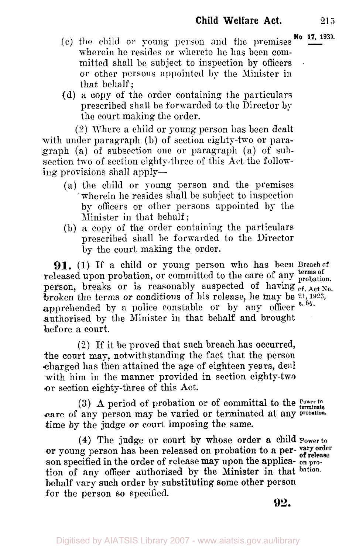- **No 17 1939.** (c) the child or young person and the premises wherein he resides or whereto he has been committed shall be subject to inspection by officers or other persons appointed by the Minister in that behalf;
- (d) a copy of the order containing the particulars prescribed shall be forwarded to the Director by the court making the order.

(2) Where a child or young person has been dealt with under paragraph (b) of section eighty-two or paragraph (a) of subsection one or paragraph (a) of subsection two of section eighty-three of this Act the following provisions shall apply—

- (a) the child or young person and the premises wherein he resides shall be subject to inspection by officers or other persons appointed by the Minister in that behalf;
- (b) a copy of the order containing the particulars prescribed shall be forwarded to the Director by the court making the order.

**91.** (1) If a child or young person who has been Breach of released upon probation, or committed to the care of any **terms** of person, breaks or is reasonably suspected of having **cf. Act** *No.*  broken the terms or conditions of his release, he may be **21, 1923**  apprehended by a police constable or by any officer <sup>s. 64</sup>. authorised by the Minister in that behalf and brought before a court.

 $(2)$  If it be proved that such breach has occurred, the court may, notwithstanding the fact that the person charged has then attained the age of eighteen years, deal with him in the manner provided in section eighty-two or section eighty-three of this Act.

care of any person may be varied or terminated at any **probation**  time by the judge or court imposing the same. **Power to (3) A** period of probation or of committal to the **terminate** 

**(4)** The judge or court **by** whose order a child **Power** to or young person has been released on probation to **a** person specified in the order of release may upon the applica- **on pro**tion of any officer authorised by the Minister in that **bation**behalf vary such order by substituting some other person for the person so specified.

**92.**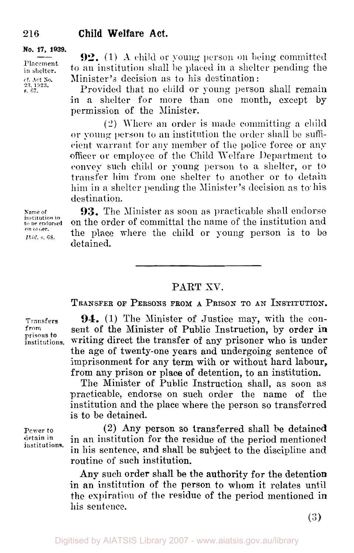**No. 17, 1939.** 

**Placement in shelter.**  cf. Act **No.** *23.* **1923, s.** 67.

**92.** (1) **A** child or young person on being committed to an institution shall be placed in a shelter pending the Minister's decision as to his destination :

Provided that no child or young person shall remain in *a* shelter for more than one month, except by permission of the Minister.

(2) Where **an** order is made committing a child **or** young person to **an** institution the order shall be sufficient warrant for **any** member of the police force or any officer or employee of the Child Welfare Department to convey such child **or** young person to a shelter, or to transfer him from one shelter to another or to detain him in a shelter pending the Minister's decision as to-his destination.

**Name of institution to to be endorsed on order.**  *Ibid.* **s.** *63.* 

**93.** The Minister as soon as practicable shall endorse on the order of committal the name of the institution and the place where the child or young person is to be detained.

### PART XV.

**TRANSFER** OF **PERSONS FROM A PRISON TO AN INSTITUTION.** 

Transfers from **prisons to institutions.** 

**94.** (1) The Minister of Justice may, with the consent of the Minister of Public Instruction, by order in writing direct the transfer of any prisoner who is under the age of twenty-one years and undergoing sentence **of**  imprisonment for any term with or without hard labour, from any prison or place of detention, to an institution.

The Minister of Public Instruction shall, as soon as practicable, endorse on such order the name of the institution and the place where the person so transferred is to be detained.

(2) Any person so transferred shall be detained in an institution for the residue of the period mentioned in his sentence, and shall be subject to the discipline and routine of such institution.

**Any** such order shall be the authority for the detention in an institution of the person to whom it relates until the expiration **of** the residue of the period mentioned in his sentence.

**Power** *to*  **detain in institutions.**